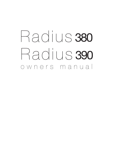# owners manual Radius 380 Radius 390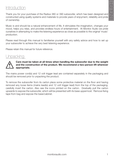## Introduction

Thank you for your purchase of the Radius 380 or 390 subwoofer, which has been designed and constructed using quality systems and materials to provide years of enjoyment, reliability and pride of ownership.

Music is and should be a natural enhancement of life. It stimulates the imagination, changes your mood, helps you relax, and provides endless hours of entertainment. At Monitor Audio we pride ourselves in attempting to make the listening experience as close as possible to the original 'music' production.

Please read through this manual to familiarise yourself with any safety advice and how to set up your subwoofer to achieve the very best listening experience.

Please retain this manual for future reference.

## Unpacking



#### **Care must be taken at all times when handling the subwoofer due to the weight and the construction of the product. We recommend a two-person lift wherever appropriate.**

The mains power cord(s) and 12 volt trigger lead are contained separately in the packaging and should be removed prior to unpacking the product.

To remove the subwoofer from its carton place some protective material on the floor and having removed any loose items (mains lead(s) and 12 volt trigger lead) from the top of the packaging, carefully invert the carton. Also see the icons printed on the carton. Gradually pull the carton upwards to expose the subwoofer, which will be presented with its base uppermost. Remove fixing tape from bag and expose the base/cabinet.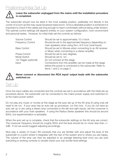

#### **Leave the subwoofer unplugged from the mains until the installation procedure is completed.**

The subwoofer should now be sited in the most suitable position, preferably not directly in the corner of a room as this may cause excessive bass boom. Once a desirable position is achieved it is important to check if the cables are long enough to reach comfortably without being under tension. The optimal control settings will depend entirely on your system configuration, room environment and personal tastes. However, for initial trials set the controls as follows:

| <b>Volume Control</b>    | Should be set to approximately 10 o'clock.                |
|--------------------------|-----------------------------------------------------------|
| <b>Frequency Control</b> | Should be set to the approximate frequency depending on   |
|                          | main speakers when using the L & R Line Level Inputs.     |
| <b>Bass Control</b>      | Should be set to Movies when connecting to an AV receiver |
|                          | or Music when connecting to a stereo amplifier.           |
| Phase Control            | Should be set to zero degrees.                            |
| Mode Switch              | Should be set to 'on'.                                    |
| 12v Trigger (optional)   | Do not connect at this stage.                             |
| Input                    | Connections from the amplifier can be made at this stage  |
|                          | before the power is connected to the subwoofer. Refer to  |
|                          | items 1 and 2 on page 3.                                  |



**Never connect or disconnect the RCA input/ output leads with the subwoofer switched on.** 

## Set Up

Once the input cables are connected and the controls are set in accordance with the initial set-up procedure above, the subwoofer can be connected to the mains power supply and switched on at the mains power switch.

Do not play any music or movies at this stage as the auto set up of the AV amp (if using one) will need to be run. If your amp has an auto set up procedure, run this now. If you do not have an auto set up or are using a stereo amp connected to the left and right inputs, set the crossover in accordance with your main speakers. If using the Radius Series speakers this should be around 80Hz, but experimentation is advisable.

When the auto set up is complete, check that the subwoofer settings on the AV amp are correct. The crossover frequency should be roughly 80Hz and the level should be no more/ less than +/- 3dB. If not we would suggest adjusting accordingly.

Now play a variety of music/ film excerpts that you are familiar with and adjust the level of the subwoofer to a point where it integrates with the rest of the system and to where you are happy. The volume of the amp can then be adjusted to an average listening level once you are sure everything is working correctly to double check your sub woofer level settings.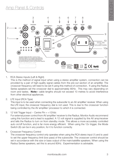## Panel & Controls



#### 1. RCA Stereo Inputs (Left & Right)

This is the method of signal input when using a stereo amplifier system, connection can be provided by a pair of high-quality signal cables from the pre-out section of an amplifier. The crossover frequency will need to be set if using this method of connection. If using the Radius Series speakers set the crossover dial to approximately 80Hz. This may vary depending on room and tastes. **Note:-** cable lengths should not exceed 10 metres to avoid interference from other electrical appliances.

2. LFE Input (RCA Type)

This input is to be used when connecting the subwoofer to an AV amplifier/ receiver. When using the LFE input, the crossover frequency dial is not used. This is due to the crossover function being controlled by the AV amplifier/ processor to which it is connected.

3. 12 Volt Trigger Input  $\sim$  Centre Pin =  $+12$ Vdc

For external power control from AV amplifier/ receiver to the Radius. Monitor Audio recommend using this function and a lead is supplied. A 12 volt signal is supplied by the AV amp/receiver and tells the Radius to turn on from standby mode. This allows a more accurately controlled auto on/off function, and is far more energy efficient. When using the 12v trigger, the Mode Switch (8) can be in any position, for it to function correctly.

4. Crossover Frequency Control

The crossover frequency control only operates when using the RCA stereo input (1) and is used to set the upper frequency limit (low pass) of the subwoofer. The crossover control should be set in accordance with the size or bass output of the main/satellite speakers. When using the Radius Series speakers, set this to around 80Hz. Experimentation is advisable.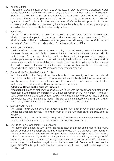#### 5. Volume Control

This control allows the level or volume to be adjusted in order to achieve a balanced overall sound. To use this facility you will need to play a selection of familiar music or film excerpts. Start with the volume at minimum and increase the level control until a balanced sound is established. If using an AV processor or AV receiver amplifier, the system can be adjusted by the test tone function within the set-up features. (Refer to the set up section in the AV processor or AV receiver amplifier user guide.) When the subwoofer is correctly set-up, you should not be able to identify its location easily in the room.

#### 6. Bass Switch

This switch tailors the bass response of the subwoofer to your tastes. There are three settings: Music, Movies and Impact. Movie mode provides a relatively flat response down to 35Hz. Music mode is -2dB down on Movie mode but goes lower, all the way down to 30Hz. Impact mode is +3dB up on Movie mode and comfortably goes down to 40Hz.

#### 7. Phase Control Switch

The Phase Control is used to synchronise any delay between the subwoofer and main/satellite speakers. When the subwoofer is in phase with the main/satellite speakers the sound should be full bodied. Sit in a normal listening position whilst adjusting the phase switch. Help from another person may be required. When set correctly the location of the subwoofer should be almost undetectable. Experimentation is advised in order to achieve optimum results. However it should be noted that in most cases the phase control switch should be set to 0 degrees, especially when using a digital AV processor or AV receiver amplifier.

#### 8. Power Mode Switch with On-Auto Facility

With the switch in the 'On' position, the subwoofer is permanently switched on under all conditions. In the 'Auto' position the subwoofer will automatically switch on when an input signal is received. It will remain on for a period of 15 minutes without receiving a signal before switching into standby mode until a signal is received once more.

#### **Additional Notes on the Auto On Function**

When using the auto on feature, the subwoofer we "lock" onto the input it was activated by. In most cases, when using either stereo or LFE input connection this will not matter. However, if using both stereo and LFE connections, you will not be able to toggle between inputs until the subwoofer has gone into standby mode. This can be done manually by turning it off and on again, or by letting it time out (15 mintues) before changing the inputs over.

#### 9. Mains Power Switch

The Mains Power Switch should be switched to the 'Off' position when the subwoofer is unused for extended periods. The switch must be in the 'On' position for the subwoofer to function.

**WARNING:** Due to the mains switch being located on the rear panel, the apparatus must be located in the open area with no obstructions to access the mains switch.

#### 10. IEC Mains Power Connector/ Fuse Location

The subwoofer is supplied with a two-pin mains input socket for connection to the mains supply. Use ONLY the appropriate IEC mains lead provided with the product. Also fitted is an external mains fuse. If this fuse blows during operation a spare fuse is provided within the fuse holder for replacement. If you wish to change the fuse, you can do this by removing the IEC mains lead and carefully levering out the original fuse from its holder below the IEC mains input socket (10a). If the fuse blows again it is advisable to seek help from an authorised service agent. DO NOT attempt to re-fit a further fuse as this could result in serious damage to the amplifier unit.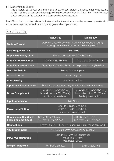#### 11. Mains Voltage Selector

This is factory set to your country's mains voltage specification. Do not attempt to adjust this as this may lead to permanent damage to the product and even the risk of fire. There is a clear plastic cover over the selector to prevent accidental adjustment.

The LED on the top of the cabinet indicates whether the unit is in standby mode or operational. It will be illuminated red when in standby, and green when operational.

## **Specification**

|                                                  | Radius 380                                                                                             | Radius 390                                                                                                  |  |
|--------------------------------------------------|--------------------------------------------------------------------------------------------------------|-------------------------------------------------------------------------------------------------------------|--|
| <b>System Format</b>                             | Active sub-woofer system - Auxiliary Bass Radiator (ABR)<br>loading. 18mm MDF cabinet (CARB2 approved) |                                                                                                             |  |
| <b>Low Frequency Limit</b>                       | 30Hz (-6dB)                                                                                            |                                                                                                             |  |
| <b>Upper Frequency Limit</b>                     | Variable 40 - 120 Hz @ 24dB/Octave                                                                     |                                                                                                             |  |
| <b>Amplifier Power Output</b>                    | $\frac{140W}{2}$ $\frac{1}{6}$ $\frac{-1}{6}$ THD+N                                                    | 200 Watts @ 1% THD+N                                                                                        |  |
| <b>Amplifier Classification</b>                  | Class D amplifier with Switch mode power supply (SMPSU)                                                |                                                                                                             |  |
| <b>Bass EQ Switch</b>                            | Music/ Movie/ Impact                                                                                   |                                                                                                             |  |
| <b>Phase Control</b>                             | 0 & 180 degrees                                                                                        |                                                                                                             |  |
| <b>Auto Sensing</b>                              | Line Level $>3.5$ mV                                                                                   |                                                                                                             |  |
| <b>Input Level Requirements</b>                  | Standby after approximately 15 minutes if no signal sensed                                             |                                                                                                             |  |
| <b>Driver Compliment</b>                         | $1 \times 8$ " (200mm) C-CAM® long<br>throw driver. $1 \times 8$ " (200mm)<br>Auxiliary bass radiator  | 1 x 10" (250mm) C-CAM <sup>®</sup> long<br>throw driver. $1 \times 10$ " (250mm)<br>Auxiliary bass radiator |  |
| <b>Input Impedance</b>                           | $>20K$ Ohms                                                                                            |                                                                                                             |  |
| <b>Mains Input Voltage</b>                       | AC 110 - 120 V ~ 50/60Hz<br>AC 220 - 240 V ~ 50/60Hz<br>(Factory Region Preset)                        |                                                                                                             |  |
| Dimensions (H x W x D)<br>(Including amp & feet) | 308 x 290 x 305mm<br>$12^{-1/8}$ x 11 $^{7/16}$ x 12 lnch                                              | 348 x 330 x 345mm<br>13 11/16 x 13 x 12 9/16 Inch                                                           |  |
| <b>Connections</b>                               | Stereo RCA in, LFE in, 12v Trigger in (3.5mm mono mini-jack)                                           |                                                                                                             |  |
| 12v Trigger Input                                | 5 - 12v via 3.5mm mono mini-jack socket                                                                |                                                                                                             |  |
| <b>Power Consumption</b>                         | Standby: < 0.5W (ErP approved)<br>Typical Idle: $<$ 10W<br>Max Rated: 200W                             |                                                                                                             |  |
| <b>Weight (unpacked</b>                          | 10.16Kg (22lb 6oz)                                                                                     | 13.76Kg (30lb 4oz)                                                                                          |  |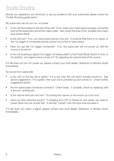## Trouble Shooting

Should you experience any technical, or set-up problems with your subwoofer please check the Trouble Shooting guide below:

My subwoofer will not turn on/ no power.

- Is the LED illuminated on the top of the unit? If not, check your mains lead is properly connected both at the subwoofer and at the mains outlet. Also check the fuse of the amplifier and mains plug (where fitted).
- Is the LED red? If so, you have power going to the unit. It could be that there is no signal, or the 12v trigger is connected and the source not turned on (see below).
- Have you got the 12v trigger connected? If so, the subwoofer will not power up until the source is turned on.
- Is the unit receiving a signal (12v trigger not being used)? Is the Power Mode Switch in Auto or On position, and signal source turned on? Try adjusting the volume level of the source.

If it still does not turn on/ power up, please contact your local dealer/ distributor or Monitor Audio immediately.

No sound from subwoofer.

- Is the LED on the top red or green? If it is red, then the unit hasn't actually turned on. See above suggestions. If it is green, then your unit is powered up and turned on. Check further suggestions below.
- Are the signal leads connected correctly? Check these. If possible, check by replacing with a second, working set.
- Is the volume level just very low? Try turning the volume on the source up a bit more.
- Have you tried switching input's? If changing from LFE to Stereo (or vice versa), you need to power down the sub woofer first. It will stay "locked" onto the input that activates it.

If it still does not output a signal, please contact your local dealer/ distributor or Monitor Audio immediately.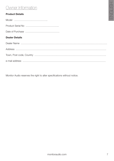## Owner Information

#### **Product Details**

Model ………………………………….. Product Serial No ………………………………….. Date of Purchase ……………………………………

#### **Dealer Details**

Monitor Audio reserves the right to alter specifications without notice.